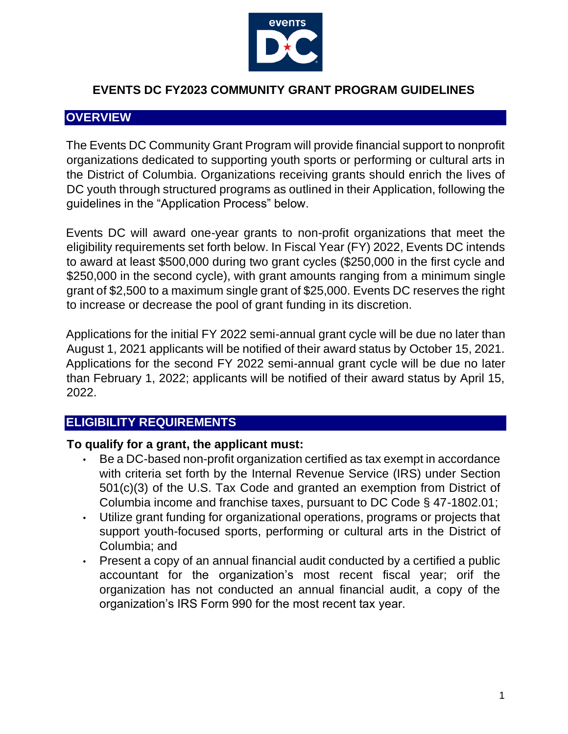

#### **EVENTS DC FY2023 COMMUNITY GRANT PROGRAM GUIDELINES**

### **OVERVIEW**

The Events DC Community Grant Program will provide financial support to nonprofit organizations dedicated to supporting youth sports or performing or cultural arts in the District of Columbia. Organizations receiving grants should enrich the lives of DC youth through structured programs as outlined in their Application, following the guidelines in the "Application Process" below.

Events DC will award one-year grants to non-profit organizations that meet the eligibility requirements set forth below. In Fiscal Year (FY) 2022, Events DC intends to award at least \$500,000 during two grant cycles (\$250,000 in the first cycle and \$250,000 in the second cycle), with grant amounts ranging from a minimum single grant of \$2,500 to a maximum single grant of \$25,000. Events DC reserves the right to increase or decrease the pool of grant funding in its discretion.

Applications for the initial FY 2022 semi-annual grant cycle will be due no later than August 1, 2021 applicants will be notified of their award status by October 15, 2021. Applications for the second FY 2022 semi-annual grant cycle will be due no later than February 1, 2022; applicants will be notified of their award status by April 15, 2022.

# **ELIGIBILITY REQUIREMENTS**

#### **To qualify for a grant, the applicant must:**

- Be a DC-based non-profit organization certified as tax exempt in accordance with criteria set forth by the Internal Revenue Service (IRS) under Section 501(c)(3) of the U.S. Tax Code and granted an exemption from District of Columbia income and franchise taxes, pursuant to DC Code § 47-1802.01;
- Utilize grant funding for organizational operations, programs or projects that support youth-focused sports, performing or cultural arts in the District of Columbia; and
- Present a copy of an annual financial audit conducted by a certified a public accountant for the organization's most recent fiscal year; orif the organization has not conducted an annual financial audit, a copy of the organization's IRS Form 990 for the most recent tax year.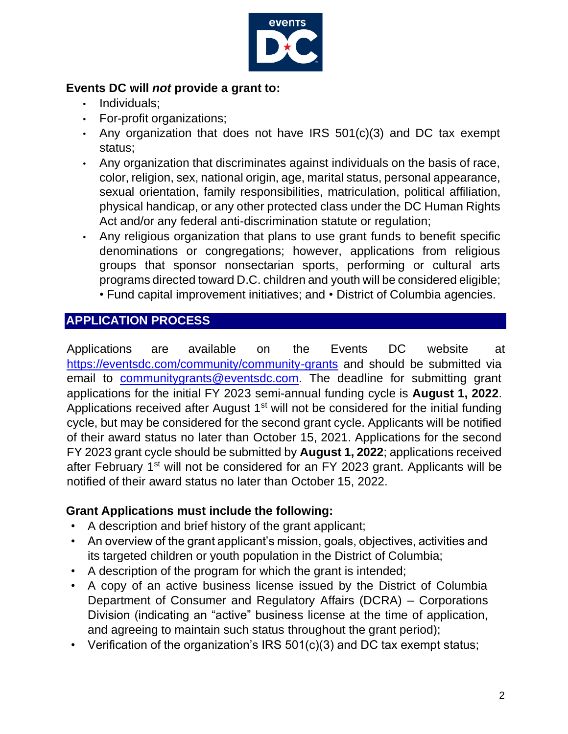

### **Events DC will** *not* **provide a grant to:**

- Individuals;
- For-profit organizations;
- Any organization that does not have IRS 501(c)(3) and DC tax exempt status;
- Any organization that discriminates against individuals on the basis of race, color, religion, sex, national origin, age, marital status, personal appearance, sexual orientation, family responsibilities, matriculation, political affiliation, physical handicap, or any other protected class under the DC Human Rights Act and/or any federal anti-discrimination statute or regulation;
- Any religious organization that plans to use grant funds to benefit specific denominations or congregations; however, applications from religious groups that sponsor nonsectarian sports, performing or cultural arts programs directed toward D.C. children and youth will be considered eligible;
	- Fund capital improvement initiatives; and District of Columbia agencies.

# **APPLICATION PROCESS**

Applications are available on the Events DC website at <https://eventsdc.com/community/community-grants> [and](https://eventsdc.com/community/community-grants) should be submitted via email to communitygrants@eventsdc.com. The deadline for submitting grant applications for the initial FY 2023 semi-annual funding cycle is **August 1, 2022**. Applications received after August 1<sup>st</sup> will not be considered for the initial funding cycle, but may be considered for the second grant cycle. Applicants will be notified of their award status no later than October 15, 2021. Applications for the second FY 2023 grant cycle should be submitted by **August 1, 2022**; applications received after February 1<sup>st</sup> will not be considered for an FY 2023 grant. Applicants will be notified of their award status no later than October 15, 2022.

## **Grant Applications must include the following:**

- A description and brief history of the grant applicant;
- An overview of the grant applicant's mission, goals, objectives, activities and its targeted children or youth population in the District of Columbia;
- A description of the program for which the grant is intended;
- A copy of an active business license issued by the District of Columbia Department of Consumer and Regulatory Affairs (DCRA) – Corporations Division (indicating an "active" business license at the time of application, and agreeing to maintain such status throughout the grant period);
- Verification of the organization's IRS 501(c)(3) and DC tax exempt status;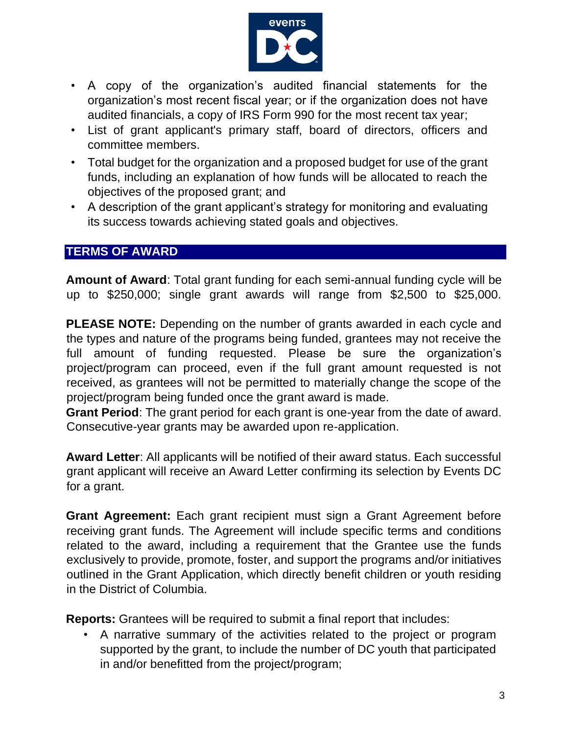

- A copy of the organization's audited financial statements for the organization's most recent fiscal year; or if the organization does not have audited financials, a copy of IRS Form 990 for the most recent tax year;
- List of grant applicant's primary staff, board of directors, officers and committee members.
- Total budget for the organization and a proposed budget for use of the grant funds, including an explanation of how funds will be allocated to reach the objectives of the proposed grant; and
- A description of the grant applicant's strategy for monitoring and evaluating its success towards achieving stated goals and objectives.

# **TERMS OF AWARD**

**Amount of Award**: Total grant funding for each semi-annual funding cycle will be up to \$250,000; single grant awards will range from \$2,500 to \$25,000.

**PLEASE NOTE:** Depending on the number of grants awarded in each cycle and the types and nature of the programs being funded, grantees may not receive the full amount of funding requested. Please be sure the organization's project/program can proceed, even if the full grant amount requested is not received, as grantees will not be permitted to materially change the scope of the project/program being funded once the grant award is made.

**Grant Period**: The grant period for each grant is one-year from the date of award. Consecutive-year grants may be awarded upon re-application.

**Award Letter**: All applicants will be notified of their award status. Each successful grant applicant will receive an Award Letter confirming its selection by Events DC for a grant.

**Grant Agreement:** Each grant recipient must sign a Grant Agreement before receiving grant funds. The Agreement will include specific terms and conditions related to the award, including a requirement that the Grantee use the funds exclusively to provide, promote, foster, and support the programs and/or initiatives outlined in the Grant Application, which directly benefit children or youth residing in the District of Columbia.

**Reports:** Grantees will be required to submit a final report that includes:

• A narrative summary of the activities related to the project or program supported by the grant, to include the number of DC youth that participated in and/or benefitted from the project/program;